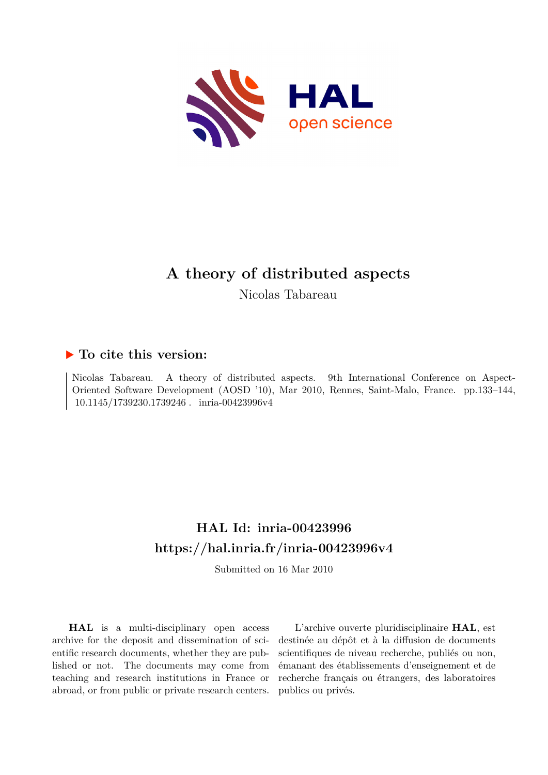

# **A theory of distributed aspects**

Nicolas Tabareau

## **To cite this version:**

Nicolas Tabareau. A theory of distributed aspects. 9th International Conference on Aspect-Oriented Software Development (AOSD '10), Mar 2010, Rennes, Saint-Malo, France. pp.133–144,  $10.1145/1739230.1739246$ . inria-00423996v4

## **HAL Id: inria-00423996 <https://hal.inria.fr/inria-00423996v4>**

Submitted on 16 Mar 2010

**HAL** is a multi-disciplinary open access archive for the deposit and dissemination of scientific research documents, whether they are published or not. The documents may come from teaching and research institutions in France or abroad, or from public or private research centers.

L'archive ouverte pluridisciplinaire **HAL**, est destinée au dépôt et à la diffusion de documents scientifiques de niveau recherche, publiés ou non, émanant des établissements d'enseignement et de recherche français ou étrangers, des laboratoires publics ou privés.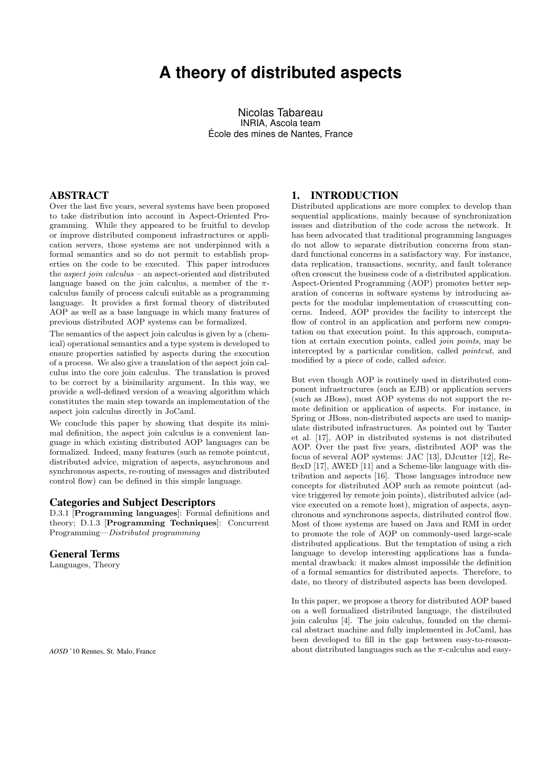## **A theory of distributed aspects**

Nicolas Tabareau INRIA, Ascola team École des mines de Nantes, France

### ABSTRACT

Over the last five years, several systems have been proposed to take distribution into account in Aspect-Oriented Programming. While they appeared to be fruitful to develop or improve distributed component infrastructures or application servers, those systems are not underpinned with a formal semantics and so do not permit to establish properties on the code to be executed. This paper introduces the aspect join calculus – an aspect-oriented and distributed language based on the join calculus, a member of the  $\pi$ calculus family of process calculi suitable as a programming language. It provides a first formal theory of distributed AOP as well as a base language in which many features of previous distributed AOP systems can be formalized.

The semantics of the aspect join calculus is given by a (chemical) operational semantics and a type system is developed to ensure properties satisfied by aspects during the execution of a process. We also give a translation of the aspect join calculus into the core join calculus. The translation is proved to be correct by a bisimilarity argument. In this way, we provide a well-defined version of a weaving algorithm which constitutes the main step towards an implementation of the aspect join calculus directly in JoCaml.

We conclude this paper by showing that despite its minimal definition, the aspect join calculus is a convenient language in which existing distributed AOP languages can be formalized. Indeed, many features (such as remote pointcut, distributed advice, migration of aspects, asynchronous and synchronous aspects, re-routing of messages and distributed control flow) can be defined in this simple language.

#### Categories and Subject Descriptors

D.3.1 [Programming languages]: Formal definitions and theory; D.1.3 [Programming Techniques]: Concurrent Programming—Distributed programming

#### General Terms

Languages, Theory

#### *AOSD* '10 Rennes, St. Malo, France

#### 1. INTRODUCTION

Distributed applications are more complex to develop than sequential applications, mainly because of synchronization issues and distribution of the code across the network. It has been advocated that traditional programming languages do not allow to separate distribution concerns from standard functional concerns in a satisfactory way. For instance, data replication, transactions, security, and fault tolerance often crosscut the business code of a distributed application. Aspect-Oriented Programming (AOP) promotes better separation of concerns in software systems by introducing aspects for the modular implementation of crosscutting concerns. Indeed, AOP provides the facility to intercept the flow of control in an application and perform new computation on that execution point. In this approach, computation at certain execution points, called join points, may be intercepted by a particular condition, called pointcut, and modified by a piece of code, called advice.

But even though AOP is routinely used in distributed component infrastructures (such as EJB) or application servers (such as JBoss), most AOP systems do not support the remote definition or application of aspects. For instance, in Spring or JBoss, non-distributed aspects are used to manipulate distributed infrastructures. As pointed out by Tanter et al. [17], AOP in distributed systems is not distributed AOP. Over the past five years, distributed AOP was the focus of several AOP systems: JAC [13], DJcutter [12], ReflexD [17], AWED [11] and a Scheme-like language with distribution and aspects [16]. Those languages introduce new concepts for distributed AOP such as remote pointcut (advice triggered by remote join points), distributed advice (advice executed on a remote host), migration of aspects, asynchronous and synchronous aspects, distributed control flow. Most of those systems are based on Java and RMI in order to promote the role of AOP on commonly-used large-scale distributed applications. But the temptation of using a rich language to develop interesting applications has a fundamental drawback: it makes almost impossible the definition of a formal semantics for distributed aspects. Therefore, to date, no theory of distributed aspects has been developed.

In this paper, we propose a theory for distributed AOP based on a well formalized distributed language, the distributed join calculus [4]. The join calculus, founded on the chemical abstract machine and fully implemented in JoCaml, has been developed to fill in the gap between easy-to-reasonabout distributed languages such as the  $\pi$ -calculus and easy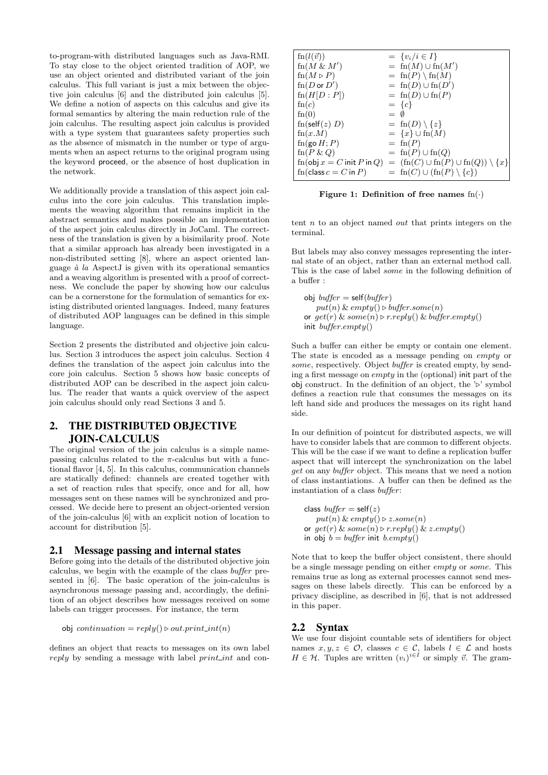to-program-with distributed languages such as Java-RMI. To stay close to the object oriented tradition of AOP, we use an object oriented and distributed variant of the join calculus. This full variant is just a mix between the objective join calculus [6] and the distributed join calculus [5]. We define a notion of aspects on this calculus and give its formal semantics by altering the main reduction rule of the join calculus. The resulting aspect join calculus is provided with a type system that guarantees safety properties such as the absence of mismatch in the number or type of arguments when an aspect returns to the original program using the keyword proceed, or the absence of host duplication in the network.

We additionally provide a translation of this aspect join calculus into the core join calculus. This translation implements the weaving algorithm that remains implicit in the abstract semantics and makes possible an implementation of the aspect join calculus directly in JoCaml. The correctness of the translation is given by a bisimilarity proof. Note that a similar approach has already been investigated in a non-distributed setting [8], where an aspect oriented language  $\dot{a}$  la AspectJ is given with its operational semantics and a weaving algorithm is presented with a proof of correctness. We conclude the paper by showing how our calculus can be a cornerstone for the formulation of semantics for existing distributed oriented languages. Indeed, many features of distributed AOP languages can be defined in this simple language.

Section 2 presents the distributed and objective join calculus. Section 3 introduces the aspect join calculus. Section 4 defines the translation of the aspect join calculus into the core join calculus. Section 5 shows how basic concepts of distributed AOP can be described in the aspect join calculus. The reader that wants a quick overview of the aspect join calculus should only read Sections 3 and 5.

## 2. THE DISTRIBUTED OBJECTIVE JOIN-CALCULUS

The original version of the join calculus is a simple namepassing calculus related to the  $\pi$ -calculus but with a functional flavor [4, 5]. In this calculus, communication channels are statically defined: channels are created together with a set of reaction rules that specify, once and for all, how messages sent on these names will be synchronized and processed. We decide here to present an object-oriented version of the join-calculus [6] with an explicit notion of location to account for distribution [5].

#### 2.1 Message passing and internal states

Before going into the details of the distributed objective join calculus, we begin with the example of the class buffer presented in [6]. The basic operation of the join-calculus is asynchronous message passing and, accordingly, the definition of an object describes how messages received on some labels can trigger processes. For instance, the term

obj continuation =  $reply() \triangleright out.print\_int(n)$ 

defines an object that reacts to messages on its own label reply by sending a message with label  $print\_int$  and con-

| $\mathrm{fn}(l(\vec{v}))$                                            |       | $= \{v_i/i \in I\}$                                                      |
|----------------------------------------------------------------------|-------|--------------------------------------------------------------------------|
| $\operatorname{fn}(M \& M')$                                         |       | $=$ fn(M) $\cup$ fn(M')                                                  |
| $\mathrm{fn}(M \triangleright P)$                                    |       | $=$ fn(P) \fn(M)                                                         |
| $\mathrm{fn}(D \text{ or } D')$                                      |       | $=$ fn(D) $\cup$ fn(D')                                                  |
| $\operatorname{fn}(H[D:P])$                                          |       | $=$ fn(D) $\cup$ fn(P)                                                   |
| $\ln(c)$                                                             |       | $= \{c\}$                                                                |
| fn(0)                                                                | $=$ 0 |                                                                          |
| fn(self(z) D)                                                        |       | $=$ fn(D) \{z}                                                           |
| fn(x.M)                                                              |       | $= \{x\} \cup \text{fn}(M)$                                              |
| $\mathrm{fn}(\mathrm{go}\,H;P)$                                      |       | $=$ fn(P)                                                                |
| $\operatorname{fn}(P \& Q)$                                          |       | $=$ fn(P) $\cup$ fn(Q)                                                   |
| $\mathrm{fn}(\mathsf{obj}\,x = C\,\mathsf{init}\,P\,\mathsf{in}\,Q)$ |       | $=$ $(\text{fn}(C) \cup \text{fn}(P) \cup \text{fn}(Q)) \setminus \{x\}$ |
| $\mathrm{fn}(\mathsf{class}\,c = C\,\mathrm{in}\,P)$                 |       | $=$ fn(C) $\cup$ (fn(P) $\setminus \{c\}$ )                              |
|                                                                      |       |                                                                          |

Figure 1: Definition of free names  $fn(·)$ 

tent  $n$  to an object named *out* that prints integers on the terminal.

But labels may also convey messages representing the internal state of an object, rather than an external method call. This is the case of label some in the following definition of a buffer :

obj  $buffer = self(bluffer)$  $put(n) \& empty() \triangleright buffer.some(n)$ or  $get(r)$  & some(n)  $\triangleright$  r.reply() & buffer.empty() init buffer.empty()

Such a buffer can either be empty or contain one element. The state is encoded as a message pending on empty or some, respectively. Object buffer is created empty, by sending a first message on empty in the (optional) init part of the obj construct. In the definition of an object, the  $\sim$  symbol defines a reaction rule that consumes the messages on its left hand side and produces the messages on its right hand side.

In our definition of pointcut for distributed aspects, we will have to consider labels that are common to different objects. This will be the case if we want to define a replication buffer aspect that will intercept the synchronization on the label get on any buffer object. This means that we need a notion of class instantiations. A buffer can then be defined as the instantiation of a class buffer:

class  $buffer = self(z)$  $put(n) \& empty() \triangleright z.some(n)$ or  $get(r)$  & some $(n) \triangleright r. reply()$  & z.empty() in obj  $b = buffer$  init  $b.empty()$ 

Note that to keep the buffer object consistent, there should be a single message pending on either empty or some. This remains true as long as external processes cannot send messages on these labels directly. This can be enforced by a privacy discipline, as described in [6], that is not addressed in this paper.

## 2.2 Syntax

We use four disjoint countable sets of identifiers for object names  $x, y, z \in \mathcal{O}$ , classes  $c \in \mathcal{C}$ , labels  $l \in \mathcal{L}$  and hosts  $H \in \mathcal{H}$ . Tuples are written  $(v_i)^{i \in I}$  or simply  $\vec{v}$ . The gram-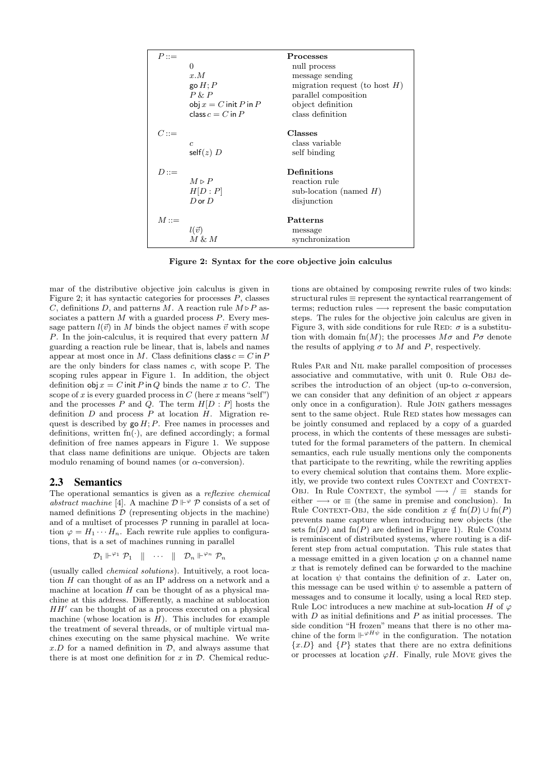| $P ::=$ | 0<br>x.M<br>go $H; P$<br>$P \& P$<br>obj $x = C$ init P in P<br>class $c = C$ in P | <b>Processes</b><br>null process<br>message sending<br>migration request (to host $H$ )<br>parallel composition<br>object definition<br>class definition |
|---------|------------------------------------------------------------------------------------|----------------------------------------------------------------------------------------------------------------------------------------------------------|
| $C ::=$ | $\epsilon$<br>self $(z)$ D                                                         | <b>Classes</b><br>class variable<br>self binding                                                                                                         |
| $D ::=$ | $M \triangleright P$<br>H[D:P]<br>$D$ or $D$                                       | Definitions<br>reaction rule<br>sub-location (named $H$ )<br>disjunction                                                                                 |
| $M ::=$ | $l(\vec{v})$<br>$M \& M$                                                           | Patterns<br>message<br>synchronization                                                                                                                   |

Figure 2: Syntax for the core objective join calculus

mar of the distributive objective join calculus is given in Figure 2; it has syntactic categories for processes  $P$ , classes C, definitions D, and patterns M. A reaction rule  $M \triangleright P$  associates a pattern  $M$  with a guarded process  $P$ . Every message pattern  $l(\vec{v})$  in M binds the object names  $\vec{v}$  with scope P. In the join-calculus, it is required that every pattern M guarding a reaction rule be linear, that is, labels and names appear at most once in M. Class definitions class  $c = C$  in P are the only binders for class names c, with scope P. The scoping rules appear in Figure 1. In addition, the object definition  $\text{obj } x = C$  init P in Q binds the name x to C. The scope of x is every guarded process in  $C$  (here x means "self") and the processes P and Q. The term  $H[D: P]$  hosts the definition  $D$  and process  $P$  at location  $H$ . Migration request is described by  $\gcd H$ ; P. Free names in processes and definitions, written  $fn(\cdot)$ , are defined accordingly; a formal definition of free names appears in Figure 1. We suppose that class name definitions are unique. Objects are taken modulo renaming of bound names (or  $\alpha$ -conversion).

#### 2.3 Semantics

The operational semantics is given as a reflexive chemical abstract machine [4]. A machine  $\mathcal{D} \Vdash^{\varphi} \mathcal{P}$  consists of a set of named definitions  $\mathcal D$  (representing objects in the machine) and of a multiset of processes  $P$  running in parallel at location  $\varphi = H_1 \cdots H_n$ . Each rewrite rule applies to configurations, that is a set of machines running in parallel

$$
\mathcal{D}_1 \Vdash^{\varphi_1} \mathcal{P}_1 \quad \parallel \quad \cdots \quad \parallel \quad \mathcal{D}_n \Vdash^{\varphi_n} \mathcal{P}_n
$$

(usually called chemical solutions). Intuitively, a root location H can thought of as an IP address on a network and a machine at location  $H$  can be thought of as a physical machine at this address. Differently, a machine at sublocation  $HH'$  can be thought of as a process executed on a physical machine (whose location is  $H$ ). This includes for example the treatment of several threads, or of multiple virtual machines executing on the same physical machine. We write  $x.D$  for a named definition in  $D$ , and always assume that there is at most one definition for  $x$  in  $D$ . Chemical reductions are obtained by composing rewrite rules of two kinds: structural rules ≡ represent the syntactical rearrangement of terms; reduction rules −→ represent the basic computation steps. The rules for the objective join calculus are given in Figure 3, with side conditions for rule RED:  $\sigma$  is a substitution with domain fn(M); the processes  $M\sigma$  and  $P\sigma$  denote the results of applying  $\sigma$  to M and P, respectively.

Rules Par and Nil make parallel composition of processes associative and commutative, with unit 0. Rule Obj describes the introduction of an object (up-to  $\alpha$ -conversion, we can consider that any definition of an object  $x$  appears only once in a configuration). Rule Join gathers messages sent to the same object. Rule RED states how messages can be jointly consumed and replaced by a copy of a guarded process, in which the contents of these messages are substituted for the formal parameters of the pattern. In chemical semantics, each rule usually mentions only the components that participate to the rewriting, while the rewriting applies to every chemical solution that contains them. More explicitly, we provide two context rules CONTEXT and CONTEXT-Obj. In Rule CONTEXT, the symbol  $\longrightarrow$  /  $\equiv$  stands for either  $\longrightarrow$  or  $\equiv$  (the same in premise and conclusion). In Rule CONTEXT-Obj, the side condition  $x \notin \text{fn}(D) \cup \text{fn}(P)$ prevents name capture when introducing new objects (the sets fn(D) and fn(P) are defined in Figure 1). Rule COMM is reminiscent of distributed systems, where routing is a different step from actual computation. This rule states that a message emitted in a given location  $\varphi$  on a channel name  $x$  that is remotely defined can be forwarded to the machine at location  $\psi$  that contains the definition of x. Later on, this message can be used within  $\psi$  to assemble a pattern of messages and to consume it locally, using a local RED step. Rule Loc introduces a new machine at sub-location H of  $\varphi$ with  $D$  as initial definitions and  $P$  as initial processes. The side condition "H frozen" means that there is no other machine of the form  $\mathbb{H}^{\varphi H \psi}$  in the configuration. The notation  ${x.D}$  and  ${P}$  states that there are no extra definitions or processes at location  $\varphi H$ . Finally, rule Move gives the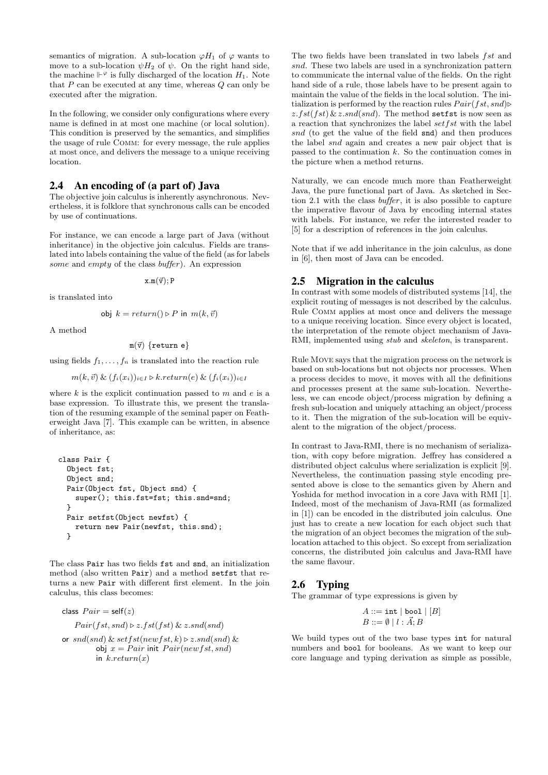semantics of migration. A sub-location  $\varphi H_1$  of  $\varphi$  wants to move to a sub-location  $\psi H_2$  of  $\psi$ . On the right hand side, the machine  $\mathbb{H}^{\varphi}$  is fully discharged of the location  $H_1$ . Note that  $P$  can be executed at any time, whereas  $Q$  can only be executed after the migration.

In the following, we consider only configurations where every name is defined in at most one machine (or local solution). This condition is preserved by the semantics, and simplifies the usage of rule Comm: for every message, the rule applies at most once, and delivers the message to a unique receiving location.

### 2.4 An encoding of (a part of) Java

The objective join calculus is inherently asynchronous. Nevertheless, it is folklore that synchronous calls can be encoded by use of continuations.

For instance, we can encode a large part of Java (without inheritance) in the objective join calculus. Fields are translated into labels containing the value of the field (as for labels some and empty of the class buffer). An expression

 $x.m(\vec{v}); P$ 

is translated into

$$
\text{obj } k = return() \triangleright P \text{ in } m(k, \vec{v})
$$

A method

$$
\mathtt{m}(\vec{\mathtt{v}}) \ \{\mathtt{return} \ \mathtt{e}\}
$$

using fields  $f_1, \ldots, f_n$  is translated into the reaction rule

$$
m(k, \vec{v}) \& (f_i(x_i))_{i \in I} \triangleright k. return(e) \& (f_i(x_i))_{i \in I}
$$

where  $k$  is the explicit continuation passed to  $m$  and  $e$  is a base expression. To illustrate this, we present the translation of the resuming example of the seminal paper on Featherweight Java [7]. This example can be written, in absence of inheritance, as:

class Pair { Object fst; Object snd; Pair(Object fst, Object snd) { super(); this.fst=fst; this.snd=snd; } Pair setfst(Object newfst) { return new Pair(newfst, this.snd); }

The class Pair has two fields fst and snd, an initialization method (also written Pair) and a method setfst that returns a new Pair with different first element. In the join calculus, this class becomes:

class Pair = self(z)  
\nPair(fst,snd) 
$$
\triangleright
$$
 z.fst(fst) & z.snd(snd)  
\nor  $snd(snd) \&$  setfst(newfst, k)  $\triangleright$  z.snd(snd) &  
\nobj  $x = Pair$  init Pair(newfst,snd)  
\nin k.return(x)

The two fields have been translated in two labels  $fst$  and snd. These two labels are used in a synchronization pattern to communicate the internal value of the fields. On the right hand side of a rule, those labels have to be present again to maintain the value of the fields in the local solution. The initialization is performed by the reaction rules  $Pair(fst,snd)$  $z.fst(fst) \& z.snd(snd)$ . The method setfst is now seen as a reaction that synchronizes the label  $setfst$  with the label snd (to get the value of the field snd) and then produces the label snd again and creates a new pair object that is passed to the continuation  $k$ . So the continuation comes in the picture when a method returns.

Naturally, we can encode much more than Featherweight Java, the pure functional part of Java. As sketched in Section 2.1 with the class buffer, it is also possible to capture the imperative flavour of Java by encoding internal states with labels. For instance, we refer the interested reader to [5] for a description of references in the join calculus.

Note that if we add inheritance in the join calculus, as done in [6], then most of Java can be encoded.

#### 2.5 Migration in the calculus

In contrast with some models of distributed systems [14], the explicit routing of messages is not described by the calculus. Rule Comm applies at most once and delivers the message to a unique receiving location. Since every object is located, the interpretation of the remote object mechanism of Java-RMI, implemented using *stub* and *skeleton*, is transparent.

Rule Move says that the migration process on the network is based on sub-locations but not objects nor processes. When a process decides to move, it moves with all the definitions and processes present at the same sub-location. Nevertheless, we can encode object/process migration by defining a fresh sub-location and uniquely attaching an object/process to it. Then the migration of the sub-location will be equivalent to the migration of the object/process.

In contrast to Java-RMI, there is no mechanism of serialization, with copy before migration. Jeffrey has considered a distributed object calculus where serialization is explicit [9]. Nevertheless, the continuation passing style encoding presented above is close to the semantics given by Ahern and Yoshida for method invocation in a core Java with RMI [1]. Indeed, most of the mechanism of Java-RMI (as formalized in [1]) can be encoded in the distributed join calculus. One just has to create a new location for each object such that the migration of an object becomes the migration of the sublocation attached to this object. So except from serialization concerns, the distributed join calculus and Java-RMI have the same flavour.

#### 2.6 Typing

The grammar of type expressions is given by

$$
A ::= \texttt{int} | \texttt{bool} | [B]
$$

$$
B ::= \emptyset | l : \vec{A}; B
$$

We build types out of the two base types int for natural numbers and bool for booleans. As we want to keep our core language and typing derivation as simple as possible,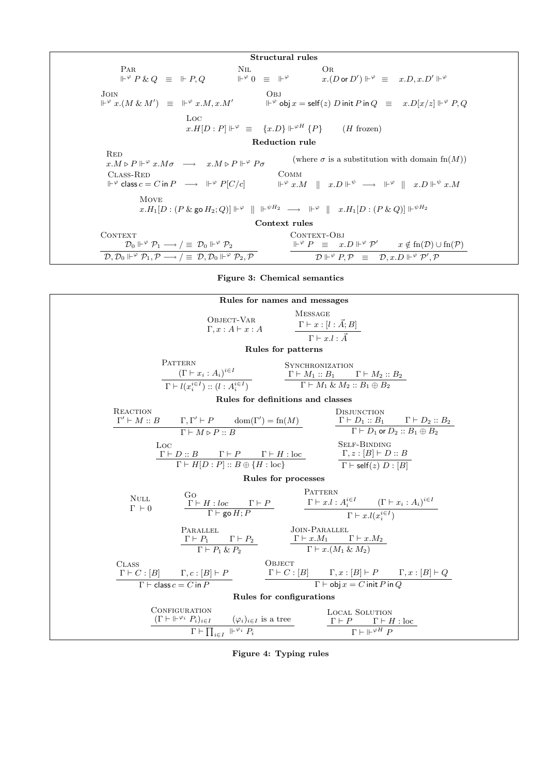

Figure 3: Chemical semantics

| Rules for names and messages                                                                                                                                                           |                                                                                                                                                                                                                                                                                                             |  |  |  |  |
|----------------------------------------------------------------------------------------------------------------------------------------------------------------------------------------|-------------------------------------------------------------------------------------------------------------------------------------------------------------------------------------------------------------------------------------------------------------------------------------------------------------|--|--|--|--|
| OBJECT-VAR<br>$\Gamma, x:A \vdash x:A$                                                                                                                                                 | <b>MESSAGE</b><br>4 $\Gamma \vdash x : [l : \vec{A}; B]$<br>$\overline{\Gamma \vdash x.l : \vec{A}}$                                                                                                                                                                                                        |  |  |  |  |
| Rules for patterns                                                                                                                                                                     |                                                                                                                                                                                                                                                                                                             |  |  |  |  |
| <b>PATTERN</b>                                                                                                                                                                         | $\begin{array}{lll} \textsc{PATTERN} & \textsc{Synch} \\ & (\Gamma \vdash x_i : A_i)^{i \in I} \\ \hline \Gamma \vdash l(x_i^{i \in I}) :: (l : A_i^{i \in I}) & \textsc{F} \vdash M_1 :: B_1 & \Gamma \vdash M_2 :: B_2 \\ & \Gamma \vdash M_1 \ \& \ M_2 :: B_1 \oplus B_2 \end{array}$                   |  |  |  |  |
|                                                                                                                                                                                        | Rules for definitions and classes                                                                                                                                                                                                                                                                           |  |  |  |  |
| <b>REACTION</b>                                                                                                                                                                        | <b>DISJUNCTION</b><br>$\frac{\Gamma'\vdash M::B\qquad\Gamma,\Gamma'\vdash P\qquad\text{dom}(\Gamma')=\text{fn}(M)}{\Gamma\vdash M\triangleright P::B}\qquad\qquad\frac{\Gamma\vdash D_1::B_1\qquad\Gamma\vdash D_2::B_2}{\Gamma\vdash D_1\,\text{or}\, D_2::B_1\oplus B_2}$                                 |  |  |  |  |
| Loc                                                                                                                                                                                    | <b>SELF-BINDING</b><br>$\frac{\Gamma \vdash D :: B \qquad \Gamma \vdash P \qquad \Gamma \vdash H : \text{loc}}{\Gamma \vdash H[D : P] :: B \oplus \{H : \text{loc}\}} \qquad \qquad \frac{\Gamma, z : [B] \vdash D :: B}{\Gamma \vdash \text{self}(z) D : [B]}$                                             |  |  |  |  |
|                                                                                                                                                                                        | Rules for processes                                                                                                                                                                                                                                                                                         |  |  |  |  |
| <b>NULL</b><br>$\Gamma + 0$                                                                                                                                                            | PATTERN<br>$\begin{array}{ccccc} \text{Go} & & \text{PATTERN} \\ \frac{\Gamma \vdash H : loc & \Gamma \vdash P & & \frac{\Gamma \vdash x.l : A_i^{i \in I} & (\Gamma \vdash x_i : A_i)^{i \in I}}{\Gamma \vdash x.l (x_i^{i \in I})} \\ \end{array}$                                                        |  |  |  |  |
|                                                                                                                                                                                        | $\begin{array}{ l } \hbox{PARALLEL} & \multicolumn{1}{c }{\text{Join-PARALLEL}}\\ \hline \Gamma \vdash P_1 & \Gamma \vdash P_2 & \multicolumn{1}{c }{\Gamma \vdash x.M_1} & \Gamma \vdash x.M_2 \\ \hline \Gamma \vdash P_1 \ \& \ P_2 & \multicolumn{1}{c }{\Gamma \vdash x.(M_1 \ \& \ M_2)} \end{array}$ |  |  |  |  |
| $O$ BJECT<br><b>CLASS</b>                                                                                                                                                              | $\frac{\Gamma \vdash C : [B] \qquad \Gamma, c : [B] \vdash P}{\Gamma \vdash \textsf{class}\, c = C \textsf{ in } P} \qquad \qquad \frac{\Gamma \vdash C : [B] \qquad \Gamma, x : [B] \vdash P \qquad \Gamma, x : [B] \vdash Q}{\Gamma \vdash \textsf{obj}\, x = C \textsf{init}\, P \textsf{ in } Q}$       |  |  |  |  |
|                                                                                                                                                                                        | Rules for configurations                                                                                                                                                                                                                                                                                    |  |  |  |  |
| <b>CONFIGURATION</b><br>$\frac{(\Gamma \vdash \Vdash^{\varphi_i} P_i)_{i \in I} \qquad (\varphi_i)_{i \in I} \text{ is a tree}}{\Gamma \vdash \prod_{i \in I} \Vdash^{\varphi_i} P_i}$ | <b>LOCAL SOLUTION</b><br>$\frac{\Gamma \vdash P \qquad \Gamma \vdash H : loc}{\Gamma \vdash \Vdash^{\varphi H} P}$                                                                                                                                                                                          |  |  |  |  |

Figure 4: Typing rules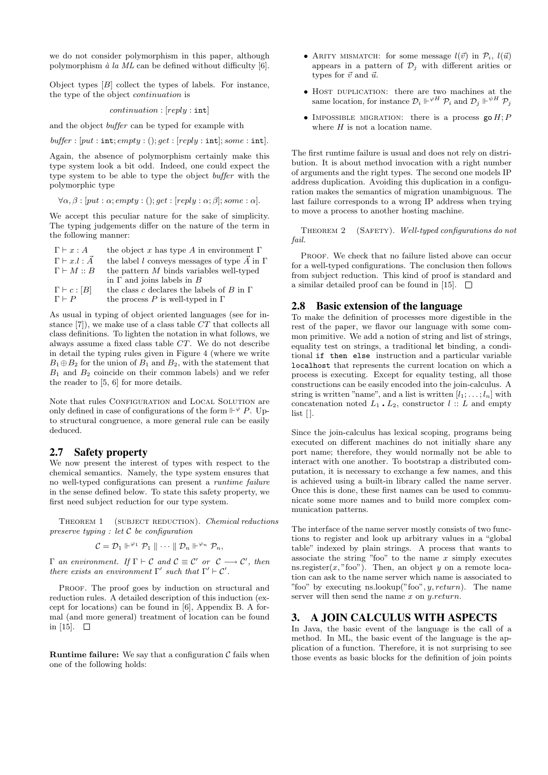we do not consider polymorphism in this paper, although polymorphism  $\dot{a}$  la ML can be defined without difficulty [6].

Object types  $[B]$  collect the types of labels. For instance, the type of the object continuation is

 $continuation : [reply : int]$ 

and the object buffer can be typed for example with

 $buffer: [put: int; empty:(); get: [reply: int]; some: int].$ 

Again, the absence of polymorphism certainly make this type system look a bit odd. Indeed, one could expect the type system to be able to type the object buffer with the polymorphic type

 $\forall \alpha, \beta : [put : \alpha; empty : (); get : [reply : \alpha; \beta]; some : \alpha].$ 

We accept this peculiar nature for the sake of simplicity. The typing judgements differ on the nature of the term in the following manner:

| $\Gamma \vdash x:A$           | the object x has type A in environment $\Gamma$                   |
|-------------------------------|-------------------------------------------------------------------|
| $\Gamma \vdash x.l : \vec{A}$ | the label <i>l</i> conveys messages of type $\vec{A}$ in $\Gamma$ |
| $\Gamma \vdash M :: B$        | the pattern $M$ binds variables well-typed                        |
|                               | in $\Gamma$ and joins labels in $B$                               |
| $\Gamma \vdash c : [B]$       | the class c declares the labels of $B$ in $\Gamma$                |
| $\Gamma \vdash P$             | the process P is well-typed in $\Gamma$                           |

As usual in typing of object oriented languages (see for instance [7]), we make use of a class table CT that collects all class definitions. To lighten the notation in what follows, we always assume a fixed class table CT. We do not describe in detail the typing rules given in Figure 4 (where we write  $B_1 \oplus B_2$  for the union of  $B_1$  and  $B_2$ , with the statement that  $B_1$  and  $B_2$  coincide on their common labels) and we refer the reader to [5, 6] for more details.

Note that rules CONFIGURATION and LOCAL SOLUTION are only defined in case of configurations of the form  $\mathbb{H}^{\varphi} P$ . Upto structural congruence, a more general rule can be easily deduced.

#### 2.7 Safety property

We now present the interest of types with respect to the chemical semantics. Namely, the type system ensures that no well-typed configurations can present a runtime failure in the sense defined below. To state this safety property, we first need subject reduction for our type system.

THEOREM 1 (SUBJECT REDUCTION). Chemical reductions preserve typing : let  $\mathcal C$  be configuration

$$
\mathcal{C} = \mathcal{D}_1 \Vdash^{\varphi_1} \mathcal{P}_1 \parallel \cdots \parallel \mathcal{D}_n \Vdash^{\varphi_n} \mathcal{P}_n,
$$

 $\Gamma$  an environment. If  $\Gamma \vdash C$  and  $C \equiv C'$  or  $C \longrightarrow C'$ , then there exists an environment  $\Gamma'$  such that  $\Gamma' \vdash \mathcal{C}'$ .

PROOF. The proof goes by induction on structural and reduction rules. A detailed description of this induction (except for locations) can be found in [6], Appendix B. A formal (and more general) treatment of location can be found in [15].  $\square$ 

**Runtime failure:** We say that a configuration  $\mathcal C$  fails when one of the following holds:

- ARITY MISMATCH: for some message  $l(\vec{v})$  in  $\mathcal{P}_i$ ,  $l(\vec{u})$ appears in a pattern of  $\mathcal{D}_j$  with different arities or types for  $\vec{v}$  and  $\vec{u}$ .
- HOST DUPLICATION: there are two machines at the same location, for instance  $\mathcal{D}_i \Vdash^{\varphi H} \mathcal{P}_i$  and  $\mathcal{D}_j \Vdash^{\psi H} \mathcal{P}_j$
- IMPOSSIBLE MIGRATION: there is a process  $\text{go } H; P$ where  $H$  is not a location name.

The first runtime failure is usual and does not rely on distribution. It is about method invocation with a right number of arguments and the right types. The second one models IP address duplication. Avoiding this duplication in a configuration makes the semantics of migration unambiguous. The last failure corresponds to a wrong IP address when trying to move a process to another hosting machine.

THEOREM 2 (SAFETY). Well-typed configurations do not fail.

PROOF. We check that no failure listed above can occur for a well-typed configurations. The conclusion then follows from subject reduction. This kind of proof is standard and a similar detailed proof can be found in [15].  $\Box$ 

#### 2.8 Basic extension of the language

To make the definition of processes more digestible in the rest of the paper, we flavor our language with some common primitive. We add a notion of string and list of strings, equality test on strings, a traditional let binding, a conditional if then else instruction and a particular variable localhost that represents the current location on which a process is executing. Except for equality testing, all those constructions can be easily encoded into the join-calculus. A string is written "name", and a list is written  $[l_1; \ldots; l_n]$  with concatenation noted  $L_1 \cdot L_2$ , constructor  $l :: L$  and empty  $list$   $\lceil$ .

Since the join-calculus has lexical scoping, programs being executed on different machines do not initially share any port name; therefore, they would normally not be able to interact with one another. To bootstrap a distributed computation, it is necessary to exchange a few names, and this is achieved using a built-in library called the name server. Once this is done, these first names can be used to communicate some more names and to build more complex communication patterns.

The interface of the name server mostly consists of two functions to register and look up arbitrary values in a "global table" indexed by plain strings. A process that wants to associate the string "foo" to the name  $x$  simply executes ns.register $(x, "foo")$ . Then, an object y on a remote location can ask to the name server which name is associated to "foo" by executing ns.lookup("foo",  $y, return$ ). The name server will then send the name  $x$  on  $y.return.$ 

### 3. A JOIN CALCULUS WITH ASPECTS

In Java, the basic event of the language is the call of a method. In ML, the basic event of the language is the application of a function. Therefore, it is not surprising to see those events as basic blocks for the definition of join points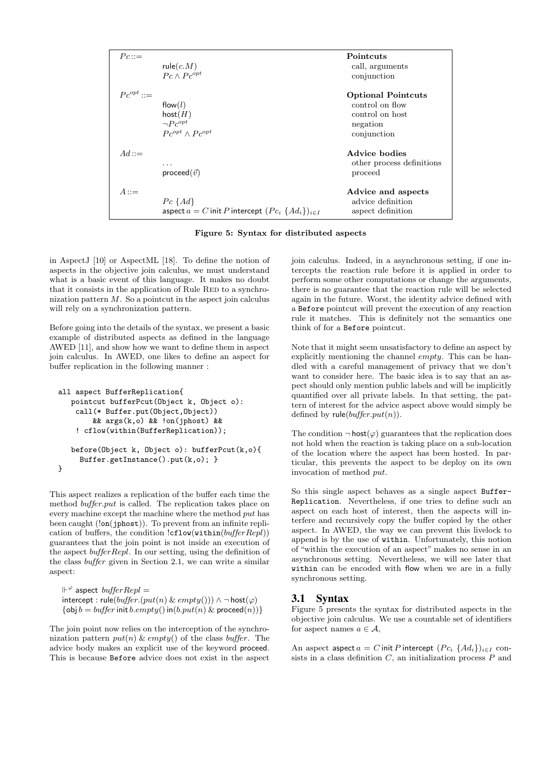| $Pc ::=$       | rule $(c.M)$<br>$P_c \wedge P_c^{opt}$                                     | Pointcuts<br>call, arguments<br>conjunction                                                |
|----------------|----------------------------------------------------------------------------|--------------------------------------------------------------------------------------------|
| $Pc^{opt}$ ::= | flow $(l)$<br>host(H)<br>$\neg P c^{opt}$<br>$Pc^{opt} \wedge Pc^{opt}$    | <b>Optional Pointcuts</b><br>control on flow<br>control on host<br>negation<br>conjunction |
| $Ad ::=$       | .<br>proceed $(\vec{v})$                                                   | Advice bodies<br>other process definitions<br>proceed                                      |
| $A ::=$        | $Pc \{Ad\}$<br>aspect $a = C$ init P intercept $(Pc_i \{Ad_i\})_{i \in I}$ | Advice and aspects<br>advice definition<br>aspect definition                               |

Figure 5: Syntax for distributed aspects

in AspectJ [10] or AspectML [18]. To define the notion of aspects in the objective join calculus, we must understand what is a basic event of this language. It makes no doubt that it consists in the application of Rule RED to a synchronization pattern  $M$ . So a pointcut in the aspect join calculus will rely on a synchronization pattern.

Before going into the details of the syntax, we present a basic example of distributed aspects as defined in the language AWED [11], and show how we want to define them in aspect join calculus. In AWED, one likes to define an aspect for buffer replication in the following manner :

```
all aspect BufferReplication{
   pointcut bufferPcut(Object k, Object o):
    call(* Buffer.put(Object,Object))
        && args(k,o) && !on(jphost) &&
    ! cflow(within(BufferReplication));
   before(Object k, Object o): bufferPcut(k,o){
     Buffer.getInstance().put(k,o); }
}
```
This aspect realizes a replication of the buffer each time the method buffer.put is called. The replication takes place on every machine except the machine where the method put has been caught (!on(jphost)). To prevent from an infinite replication of buffers, the condition  $!c$ flow(within(bufferRepl)) guarantees that the join point is not inside an execution of the aspect *bufferRepl*. In our setting, using the definition of the class buffer given in Section 2.1, we can write a similar aspect:

```
\Vdash^{\varphi} aspect bufferRep =
intercept : rule(buffer.(put(n) & empty())) \land \neg host(\varphi)
\{obj\ b = buffer\ init\ b.empty()\ in(b.put(n) \ &\ \hbox{proceed}(n))\}
```
The join point now relies on the interception of the synchronization pattern  $put(n)$  & empty() of the class buffer. The advice body makes an explicit use of the keyword proceed. This is because Before advice does not exist in the aspect

join calculus. Indeed, in a asynchronous setting, if one intercepts the reaction rule before it is applied in order to perform some other computations or change the arguments, there is no guarantee that the reaction rule will be selected again in the future. Worst, the identity advice defined with a Before pointcut will prevent the execution of any reaction rule it matches. This is definitely not the semantics one think of for a Before pointcut.

Note that it might seem unsatisfactory to define an aspect by explicitly mentioning the channel empty. This can be handled with a careful management of privacy that we don't want to consider here. The basic idea is to say that an aspect should only mention public labels and will be implicitly quantified over all private labels. In that setting, the pattern of interest for the advice aspect above would simply be defined by rule( $buffer.put(n)$ ).

The condition  $\neg$  host( $\varphi$ ) guarantees that the replication does not hold when the reaction is taking place on a sub-location of the location where the aspect has been hosted. In particular, this prevents the aspect to be deploy on its own invocation of method put.

So this single aspect behaves as a single aspect Buffer-Replication. Nevertheless, if one tries to define such an aspect on each host of interest, then the aspects will interfere and recursively copy the buffer copied by the other aspect. In AWED, the way we can prevent this livelock to append is by the use of within. Unfortunately, this notion of "within the execution of an aspect" makes no sense in an asynchronous setting. Nevertheless, we will see later that within can be encoded with flow when we are in a fully synchronous setting.

## 3.1 Syntax

Figure 5 presents the syntax for distributed aspects in the objective join calculus. We use a countable set of identifiers for aspect names  $a \in \mathcal{A}$ ,

An aspect aspect  $a = C$  init P intercept  $(P_{c_i} \{Ad_i\})_{i \in I}$  consists in a class definition  $C$ , an initialization process  $P$  and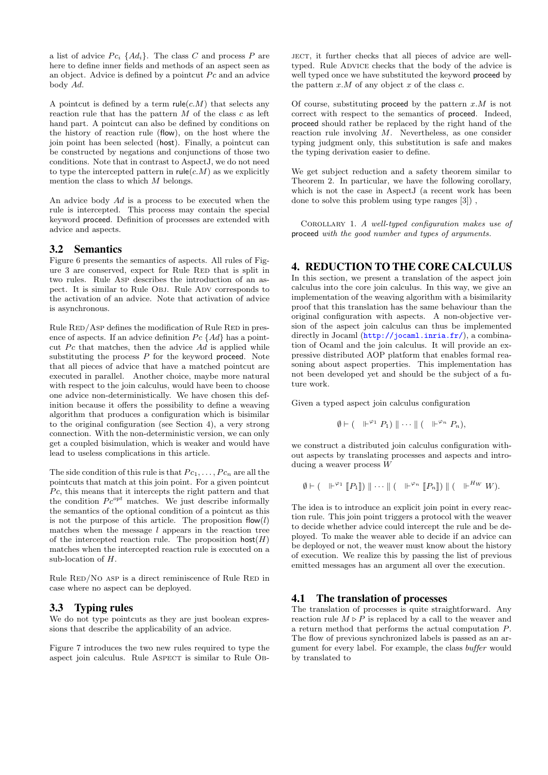a list of advice  $P_{c_i}$  { $Ad_i$ }. The class C and process P are here to define inner fields and methods of an aspect seen as an object. Advice is defined by a pointcut  $P_c$  and an advice body Ad.

A pointcut is defined by a term  $rule(c.M)$  that selects any reaction rule that has the pattern  $M$  of the class  $c$  as left hand part. A pointcut can also be defined by conditions on the history of reaction rule (flow), on the host where the join point has been selected (host). Finally, a pointcut can be constructed by negations and conjunctions of those two conditions. Note that in contrast to AspectJ, we do not need to type the intercepted pattern in  $rule(c.M)$  as we explicitly mention the class to which M belongs.

An advice body Ad is a process to be executed when the rule is intercepted. This process may contain the special keyword proceed. Definition of processes are extended with advice and aspects.

#### 3.2 Semantics

Figure 6 presents the semantics of aspects. All rules of Figure 3 are conserved, expect for Rule RED that is split in two rules. Rule Asp describes the introduction of an aspect. It is similar to Rule Obj. Rule Apy corresponds to the activation of an advice. Note that activation of advice is asynchronous.

 $Rule$  RED/Asp defines the modification of Rule RED in presence of aspects. If an advice definition  $P_c$  {Ad} has a pointcut  $Pc$  that matches, then the advice  $Ad$  is applied while substituting the process  $P$  for the keyword proceed. Note that all pieces of advice that have a matched pointcut are executed in parallel. Another choice, maybe more natural with respect to the join calculus, would have been to choose one advice non-deterministically. We have chosen this definition because it offers the possibility to define a weaving algorithm that produces a configuration which is bisimilar to the original configuration (see Section 4), a very strong connection. With the non-deterministic version, we can only get a coupled bisimulation, which is weaker and would have lead to useless complications in this article.

The side condition of this rule is that  $P c_1, \ldots, P c_n$  are all the pointcuts that match at this join point. For a given pointcut  $P_c$ , this means that it intercepts the right pattern and that the condition  $P c^{opt}$  matches. We just describe informally the semantics of the optional condition of a pointcut as this is not the purpose of this article. The proposition  $flow(l)$ matches when the message  $l$  appears in the reaction tree of the intercepted reaction rule. The proposition  $\text{host}(H)$ matches when the intercepted reaction rule is executed on a sub-location of H.

Rule RED/NO ASP is a direct reminiscence of Rule RED in case where no aspect can be deployed.

## 3.3 Typing rules

We do not type pointcuts as they are just boolean expressions that describe the applicability of an advice.

Figure 7 introduces the two new rules required to type the aspect join calculus. Rule ASPECT is similar to Rule OB-

JECT, it further checks that all pieces of advice are welltyped. Rule Advice checks that the body of the advice is well typed once we have substituted the keyword proceed by the pattern  $x.M$  of any object  $x$  of the class  $c$ .

Of course, substituting proceed by the pattern  $x.M$  is not correct with respect to the semantics of proceed. Indeed, proceed should rather be replaced by the right hand of the reaction rule involving M. Nevertheless, as one consider typing judgment only, this substitution is safe and makes the typing derivation easier to define.

We get subject reduction and a safety theorem similar to Theorem 2. In particular, we have the following corollary, which is not the case in AspectJ (a recent work has been done to solve this problem using type ranges [3]) ,

Corollary 1. A well-typed configuration makes use of proceed with the good number and types of arguments.

#### 4. REDUCTION TO THE CORE CALCULUS

In this section, we present a translation of the aspect join calculus into the core join calculus. In this way, we give an implementation of the weaving algorithm with a bisimilarity proof that this translation has the same behaviour than the original configuration with aspects. A non-objective version of the aspect join calculus can thus be implemented directly in Jocaml (<http://jocaml.inria.fr/>), a combination of Ocaml and the join calculus. It will provide an expressive distributed AOP platform that enables formal reasoning about aspect properties. This implementation has not been developed yet and should be the subject of a future work.

Given a typed aspect join calculus configuration

$$
\emptyset \vdash (\mathbb{H}^{\varphi_1} P_1) \mathbb{H} \cdots \mathbb{H} (\mathbb{H}^{\varphi_n} P_n),
$$

we construct a distributed join calculus configuration without aspects by translating processes and aspects and introducing a weaver process W

$$
\emptyset \vdash (\vdash^{\varphi_1} [P_1]) \parallel \cdots \parallel (\vdash^{\varphi_n} [P_n]) \parallel (\vdash^{\mathit{H}_W} W).
$$

The idea is to introduce an explicit join point in every reaction rule. This join point triggers a protocol with the weaver to decide whether advice could intercept the rule and be deployed. To make the weaver able to decide if an advice can be deployed or not, the weaver must know about the history of execution. We realize this by passing the list of previous emitted messages has an argument all over the execution.

#### 4.1 The translation of processes

The translation of processes is quite straightforward. Any reaction rule  $M \triangleright P$  is replaced by a call to the weaver and a return method that performs the actual computation P. The flow of previous synchronized labels is passed as an argument for every label. For example, the class buffer would by translated to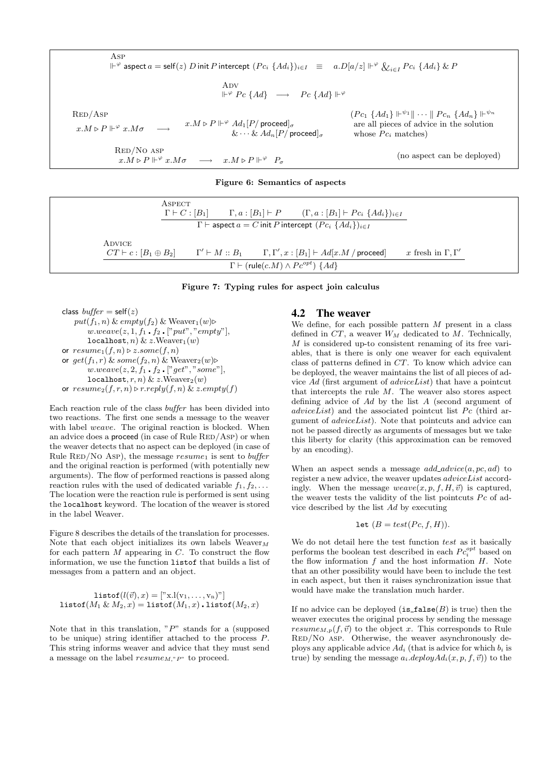

#### Figure 6: Semantics of aspects

|                                  | ASPECT | $\Gamma \vdash C : [B_1] \qquad \Gamma, a : [B_1] \vdash P \qquad (\Gamma, a : [B_1] \vdash P c_i \ \{Ad_i\})_{i \in I}$ |                              |
|----------------------------------|--------|--------------------------------------------------------------------------------------------------------------------------|------------------------------|
|                                  |        | $\Gamma \vdash$ aspect $a = C$ init P intercept $(Pc_i \{Ad_i\})_{i \in I}$                                              |                              |
| <b>ADVICE</b>                    |        |                                                                                                                          |                              |
| $CT \vdash c : [B_1 \oplus B_2]$ |        | $\Gamma' \vdash M :: B_1$ $\Gamma, \Gamma', x : [B_1] \vdash Ad[x.M/proceed]$                                            | x fresh in $\Gamma, \Gamma'$ |

#### Figure 7: Typing rules for aspect join calculus

class  $buffer = self(z)$  $put(f_1, n) \& empty(f_2) \& Weaver_1(w) \triangleright$  $w.weave(z, 1, f<sub>1</sub> \cdot f<sub>2</sub> \cdot ["put", "empty"],$  $localhost, n) & z. Weaver<sub>1</sub>(w)$ or  $resume_1(f, n) \triangleright z.some(f, n)$ or  $get(f_1, r)$  & some $(f_2, n)$  & Weaver<sub>2</sub> $(w)$  $w.weave(z, 2, f_1 \cdot f_2 \cdot ["get", "some"]$ ,  $localhost, r, n) \& z. Weaver<sub>2</sub>(w)$ or  $resume_2(f, r, n) \triangleright r. reply(f, n) \& z. empty(f)$ 

Each reaction rule of the class buffer has been divided into two reactions. The first one sends a message to the weaver with label weave. The original reaction is blocked. When an advice does a **proceed** (in case of Rule  $\text{RED}/\text{ASP}$ ) or when the weaver detects that no aspect can be deployed (in case of Rule RED/NO Asp), the message  $resume_1$  is sent to buffer and the original reaction is performed (with potentially new arguments). The flow of performed reactions is passed along reaction rules with the used of dedicated variable  $f_1, f_2, \ldots$ The location were the reaction rule is performed is sent using the localhost keyword. The location of the weaver is stored in the label Weaver.

Figure 8 describes the details of the translation for processes. Note that each object initializes its own labels  $\text{Weaver}_{M}$ for each pattern  $M$  appearing in  $C$ . To construct the flow information, we use the function listof that builds a list of messages from a pattern and an object.

$$
\texttt{listof}(\mathcal{U}(\vec{v}), x) = [\text{"x.l(v_1, \ldots, v_n)}"]\texttt{listof}(M_1 \& M_2, x) = \texttt{listof}(M_1, x) \cdot \texttt{listof}(M_2, x)
$$

Note that in this translation,  $P^{\prime\prime}$  stands for a (supposed to be unique) string identifier attached to the process P. This string informs weaver and advice that they must send a message on the label  $resume_{M, "P"}$  to proceed.

#### 4.2 The weaver

We define, for each possible pattern  $M$  present in a class defined in  $CT$ , a weaver  $W_M$  dedicated to M. Technically, M is considered up-to consistent renaming of its free variables, that is there is only one weaver for each equivalent class of patterns defined in CT. To know which advice can be deployed, the weaver maintains the list of all pieces of advice Ad (first argument of adviceList) that have a pointcut that intercepts the rule  $M$ . The weaver also stores aspect defining advice of Ad by the list A (second argument of  $adviceList)$  and the associated pointcut list  $P_c$  (third argument of adviceList). Note that pointcuts and advice can not be passed directly as arguments of messages but we take this liberty for clarity (this approximation can be removed by an encoding).

When an aspect sends a message  $add\_advice(a, pc, ad)$  to register a new advice, the weaver updates adviceList accordingly. When the message  $weave(x, p, f, H, \vec{v})$  is captured, the weaver tests the validity of the list pointcuts  $P_c$  of advice described by the list Ad by executing

$$
let (B = test(Pc, f, H)).
$$

We do not detail here the test function test as it basically performs the boolean test described in each  $P c_i^{opt}$  based on the flow information  $f$  and the host information  $H$ . Note that an other possibility would have been to include the test in each aspect, but then it raises synchronization issue that would have make the translation much harder.

If no advice can be deployed  $(is\_false(B)$  is true) then the weaver executes the original process by sending the message  $resume_{M,p}(f, \vec{v})$  to the object x. This corresponds to Rule RED/NO ASP. Otherwise, the weaver asynchronously deploys any applicable advice  $Ad_i$  (that is advice for which  $b_i$  is true) by sending the message  $a_i.deplogAd_i(x, p, f, \vec{v})$  to the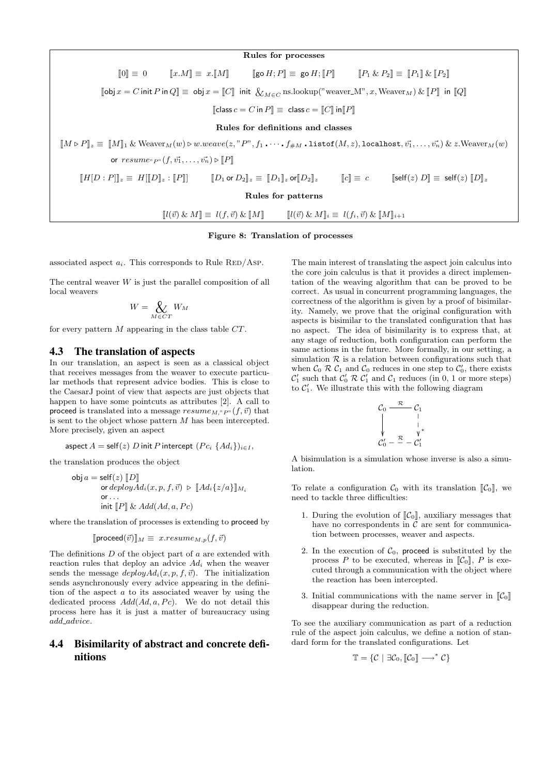

#### Figure 8: Translation of processes

associated aspect  $a_i$ . This corresponds to Rule RED/Asp.

The central weaver  $W$  is just the parallel composition of all local weavers

$$
W = \bigotimes_{M \in CT} W_M
$$

for every pattern  $M$  appearing in the class table  $CT$ .

#### 4.3 The translation of aspects

In our translation, an aspect is seen as a classical object that receives messages from the weaver to execute particular methods that represent advice bodies. This is close to the CaesarJ point of view that aspects are just objects that happen to have some pointcuts as attributes [2]. A call to proceed is translated into a message  $resume_{M, "P"}(f, \vec{v})$  that is sent to the object whose pattern M has been intercepted. More precisely, given an aspect

$$
aspect A = self(z) D init P intercept (Pc_i \{Ad_i\})_{i \in I},
$$

the translation produces the object

$$
\text{obj } a = \text{self}(z) \,\,\llbracket D \rrbracket
$$
\n
$$
\text{or } \operatorname{deployAd}_i(x, p, f, \vec{v}) \, \triangleright \, \,\llbracket \operatorname{Ad}_i \{ z/a \} \rrbracket_{M_i}
$$
\n
$$
\text{or} \dots
$$
\n
$$
\text{init } \llbracket P \rrbracket \, \& \, \operatorname{Add}(Ad, a, Pc)
$$

where the translation of processes is extending to proceed by

$$
[\mathsf{proceed}(\vec{v})]_M \equiv x \cdot \text{resume}_{M,p}(f, \vec{v})
$$

The definitions D of the object part of a are extended with reaction rules that deploy an advice  $Ad_i$  when the weaver sends the message  $deployAd<sub>i</sub>(x, p, f, \vec{v})$ . The initialization sends asynchronously every advice appearing in the definition of the aspect a to its associated weaver by using the dedicated process  $Add(Ad, a, Pc)$ . We do not detail this process here has it is just a matter of bureaucracy using add advice.

## 4.4 Bisimilarity of abstract and concrete definitions

The main interest of translating the aspect join calculus into the core join calculus is that it provides a direct implementation of the weaving algorithm that can be proved to be correct. As usual in concurrent programming languages, the correctness of the algorithm is given by a proof of bisimilarity. Namely, we prove that the original configuration with aspects is bisimilar to the translated configuration that has no aspect. The idea of bisimilarity is to express that, at any stage of reduction, both configuration can perform the same actions in the future. More formally, in our setting, a simulation  $R$  is a relation between configurations such that when  $\mathcal{C}_0$   $\mathcal{R}$   $\mathcal{C}_1$  and  $\mathcal{C}_0$  reduces in one step to  $\mathcal{C}'_0$ , there exists  $\mathcal{C}'_1$  such that  $\mathcal{C}'_0$  R  $\mathcal{C}'_1$  and  $\mathcal{C}_1$  reduces (in 0, 1 or more steps) to  $C'_1$ . We illustrate this with the following diagram

$$
\begin{array}{ccc}\nC_0 & \xrightarrow{\mathcal{R}} & C_1 \\
\downarrow & & \downarrow \\
\downarrow^{\mathcal{R}} & & \downarrow^{\ast} \\
C'_0 & \xrightarrow{\mathcal{R}} & -C'_1\n\end{array}
$$

A bisimulation is a simulation whose inverse is also a simulation.

To relate a configuration  $\mathcal{C}_0$  with its translation  $\llbracket \mathcal{C}_0 \rrbracket$ , we need to tackle three difficulties:

- 1. During the evolution of  $\llbracket \mathcal{C}_0 \rrbracket$ , auxiliary messages that have no correspondents in  $\mathcal C$  are sent for communication between processes, weaver and aspects.
- 2. In the execution of  $C_0$ , proceed is substituted by the process P to be executed, whereas in  $\llbracket \mathcal{C}_0 \rrbracket$ , P is executed through a communication with the object where the reaction has been intercepted.
- 3. Initial communications with the name server in  $\llbracket \mathcal{C}_0 \rrbracket$ disappear during the reduction.

To see the auxiliary communication as part of a reduction rule of the aspect join calculus, we define a notion of standard form for the translated configurations. Let

$$
\mathbb{T} = \{ \mathcal{C} \mid \exists \mathcal{C}_0, [\![\mathcal{C}_0]\!] \longrightarrow^* \mathcal{C} \}
$$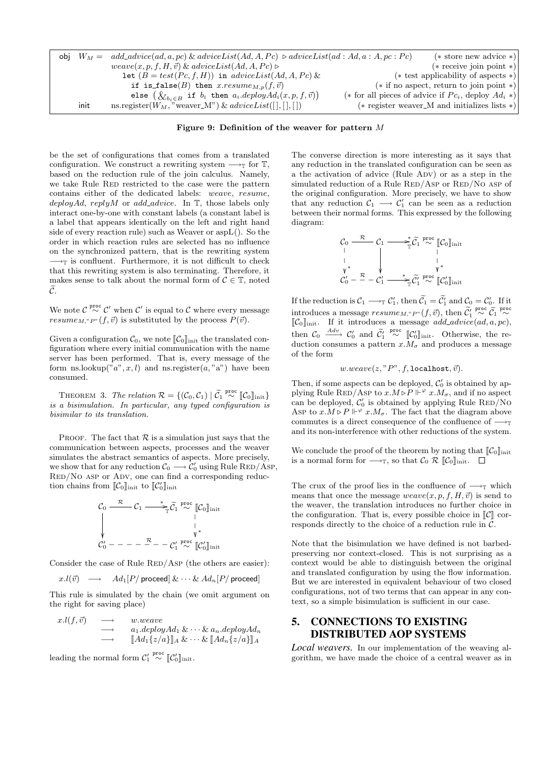|      | obj $W_M = add\_advice(ad, a, pc)$ & advice List(Ad, A, Pc) $\triangleright$ advice List(ad : Ad, a : A, pc : Pc) | $(*$ store new advice $*)$                                   |
|------|-------------------------------------------------------------------------------------------------------------------|--------------------------------------------------------------|
|      | $weave(x, p, f, H, \vec{v})$ & advice List(Ad, A, Pc)                                                             | $(* \text{ receive join point } *)$                          |
|      | let $(B = test(Pc, f, H))$ in adviceList(Ad, A, Pc) &                                                             | ( $*$ test applicability of aspects $*)$                     |
|      | if is_false(B) then $x$ .resume <sub>M,p</sub> (f, $\vec{v}$ )                                                    | $(*$ if no aspect, return to join point $*)$                 |
|      | else $(\mathcal{X}_{b_i \in B}$ if $b_i$ then $a_i.deployAd_i(x, p, f, \vec{v}))$                                 | (* for all pieces of advice if $P_{c_i}$ , deploy $Ad_i *$ ) |
| init | ns.register $(W_M, \text{``weaver_M''})$ & adviceList([, [, [, [)]                                                | $(*$ register weaver_M and initializes lists $*)$            |



be the set of configurations that comes from a translated configuration. We construct a rewriting system  $\longrightarrow_{\mathbb{T}}$  for  $\mathbb{T}$ , based on the reduction rule of the join calculus. Namely, we take Rule RED restricted to the case were the pattern contains either of the dedicated labels: weave, resume, deployAd, replyM or add\_advice. In  $\mathbb{T}$ , those labels only interact one-by-one with constant labels (a constant label is a label that appears identically on the left and right hand side of every reaction rule) such as Weaver or aspL(). So the order in which reaction rules are selected has no influence on the synchronized pattern, that is the rewriting system  $\rightarrow_{\mathbb{T}}$  is confluent. Furthermore, it is not difficult to check that this rewriting system is also terminating. Therefore, it makes sense to talk about the normal form of  $C \in \mathbb{T}$ , noted  $\widetilde{\mathcal{C}}$ .

We note  $\mathcal{C} \stackrel{\text{proc}}{\sim} \mathcal{C}'$  when  $\mathcal{C}'$  is equal to  $\mathcal{C}$  where every message resume<sub>M,"</sub>  $P^{\nu}(f, \vec{v})$  is substituted by the process  $P(\vec{v})$ .

Given a configuration  $\mathcal{C}_0$ , we note  $\lbrack\!\lbrack \mathcal{C}_0 \rbrack\!\rbrack_{\text{init}}$  the translated configuration where every initial communication with the name server has been performed. That is, every message of the form ns.lookup(" $a$ ", x, l) and ns.register( $a$ , "a") have been consumed.

THEOREM 3. The relation  $\mathcal{R} = \{(\mathcal{C}_0, \mathcal{C}_1) \mid \tilde{\mathcal{C}}_1 \stackrel{\text{proc}}{\sim} [\![\mathcal{C}_0]\!]$  init) is a bisimulation. In particular, any typed configuration is bisimilar to its translation.

PROOF. The fact that  $R$  is a simulation just says that the communication between aspects, processes and the weaver simulates the abstract semantics of aspects. More precisely, we show that for any reduction  $\mathcal{C}_0 \longrightarrow \mathcal{C}'_0$  using Rule RED/Asp, RED/NO ASP or ADV, one can find a corresponding reduction chains from  $[\![\mathcal{C}_0]\!]_{\mathrm{init}}$  to  $[\![\mathcal{C}'_0]\!]_{\mathrm{init}}$ 

$$
\begin{array}{ccc}\nC_0 & \xrightarrow{\mathcal{R}} & C_1 & \xrightarrow{\ast} & \widetilde{C}_1 \xrightarrow{\text{proc}} & [C_0]_{\text{init}} \\
\downarrow & & \downarrow & & \downarrow \\
C'_0 & - & - & - & \xrightarrow{\mathcal{R}} & - & C'_1 \xrightarrow{\text{proc}} & [C'_0]_{\text{init}}\n\end{array}
$$

Consider the case of Rule RED/Asp (the others are easier):

$$
x.l(\vec{v}) \longrightarrow Ad_1[P/\text{proceed}] \& \cdots \& Ad_n[P/\text{proceed}]
$$

This rule is simulated by the chain (we omit argument on the right for saving place)

$$
x.l(f, \vec{v}) \longrightarrow w.weave
$$
  
\n
$$
\longrightarrow a_1.deployAd_1 \& \cdots & a_n.deployAd_n
$$
  
\n
$$
\longrightarrow [Ad_1\{z/a\}]_A \& \cdots & [Ad_n\{z/a\}]_A
$$

leading the normal form  $\mathcal{C}'_1 \stackrel{\text{proc}}{\sim} [\![\mathcal{C}'_0]\!]_{\text{init}}.$ 

The converse direction is more interesting as it says that any reduction in the translated configuration can be seen as a the activation of advice (Rule ADV) or as a step in the simulated reduction of a Rule  $RED/ASP$  or  $RED/NO$  Asp of the original configuration. More precisely, we have to show that any reduction  $C_1 \longrightarrow C'_1$  can be seen as a reduction between their normal forms. This expressed by the following diagram:



If the reduction is  $\mathcal{C}_1 \longrightarrow_{\mathbb{T}} \mathcal{C}'_1$ , then  $\widetilde{\mathcal{C}}_1 = \widetilde{\mathcal{C}}'_1$  and  $\mathcal{C}_0 = \mathcal{C}'_0$ . If it introduces a message  $resume_{M, p} (f, \vec{v})$ , then  $\widetilde{C}_1 \overset{\text{proc}}{\sim} \widetilde{C}_1 \overset{\text{proc}}{\sim}$  $\llbracket \mathcal{C}_0 \rrbracket_{\text{init}}$ . If it introduces a message add advice(ad, a, pc), then  $C_0 \xrightarrow{Adv} C'_0$  and  $\widetilde{C}'_1 \stackrel{\text{proc}}{\sim} [\![C'_0]\!]_{\text{init}}$ . Otherwise, the reduction consumes a pattern  $x.M_\sigma$  and produces a message of the form

$$
w.weave(z,"P",f,\texttt{localhost},\vec{v}).
$$

Then, if some aspects can be deployed,  $C'_0$  is obtained by applying Rule RED/Asp to  $x.M \triangleright P \Vdash^{\varphi} x.M_{\sigma}$ , and if no aspect can be deployed,  $\mathcal{C}'_0$  is obtained by applying Rule RED/No Asp to  $x.M \triangleright P \Vdash^{\varphi} x.M_{\sigma}$ . The fact that the diagram above commutes is a direct consequence of the confluence of  $\longrightarrow$ and its non-interference with other reductions of the system.

We conclude the proof of the theorem by noting that  $\llbracket \mathcal{C}_0 \rrbracket_{\text{init}}$ is a normal form for  $\longrightarrow_{\mathbb{T}}$ , so that  $\mathcal{C}_0 \mathcal{R}$  [ $\mathcal{C}_0$ ]<sub>init</sub>.  $\Box$ 

The crux of the proof lies in the confluence of  $\longrightarrow_{\mathbb{T}}$  which means that once the message  $weave(x, p, f, H, \vec{v})$  is send to the weaver, the translation introduces no further choice in the configuration. That is, every possible choice in  $\llbracket \mathcal{C} \rrbracket$  corresponds directly to the choice of a reduction rule in C.

Note that the bisimulation we have defined is not barbedpreserving nor context-closed. This is not surprising as a context would be able to distinguish between the original and translated configuration by using the flow information. But we are interested in equivalent behaviour of two closed configurations, not of two terms that can appear in any context, so a simple bisimulation is sufficient in our case.

## 5. CONNECTIONS TO EXISTING DISTRIBUTED AOP SYSTEMS

*Local weavers.* In our implementation of the weaving algorithm, we have made the choice of a central weaver as in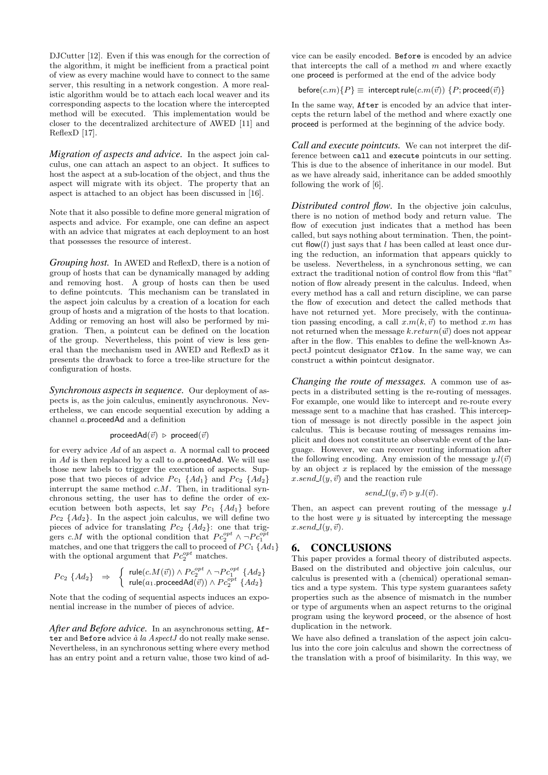DJCutter [12]. Even if this was enough for the correction of the algorithm, it might be inefficient from a practical point of view as every machine would have to connect to the same server, this resulting in a network congestion. A more realistic algorithm would be to attach each local weaver and its corresponding aspects to the location where the intercepted method will be executed. This implementation would be closer to the decentralized architecture of AWED [11] and ReflexD [17].

*Migration of aspects and advice.* In the aspect join calculus, one can attach an aspect to an object. It suffices to host the aspect at a sub-location of the object, and thus the aspect will migrate with its object. The property that an aspect is attached to an object has been discussed in [16].

Note that it also possible to define more general migration of aspects and advice. For example, one can define an aspect with an advice that migrates at each deployment to an host that possesses the resource of interest.

*Grouping host.* In AWED and ReflexD, there is a notion of group of hosts that can be dynamically managed by adding and removing host. A group of hosts can then be used to define pointcuts. This mechanism can be translated in the aspect join calculus by a creation of a location for each group of hosts and a migration of the hosts to that location. Adding or removing an host will also be performed by migration. Then, a pointcut can be defined on the location of the group. Nevertheless, this point of view is less general than the mechanism used in AWED and ReflexD as it presents the drawback to force a tree-like structure for the configuration of hosts.

*Synchronous aspects in sequence.* Our deployment of aspects is, as the join calculus, eminently asynchronous. Nevertheless, we can encode sequential execution by adding a channel a.proceedAd and a definition

#### proceed $\text{Ad}(\vec{v})$   $\triangleright$  proceed $(\vec{v})$

for every advice  $Ad$  of an aspect  $a$ . A normal call to **proceed** in  $Ad$  is then replaced by a call to a.proceedAd. We will use those new labels to trigger the execution of aspects. Suppose that two pieces of advice  $P_{c_1}$  {Ad<sub>1</sub>} and  $P_{c_2}$  {Ad<sub>2</sub>} interrupt the same method  $c.M$ . Then, in traditional synchronous setting, the user has to define the order of execution between both aspects, let say  $P_{c_1} \{Ad_1\}$  before  $P_{c_2}$  { $Ad_2$ }. In the aspect join calculus, we will define two pieces of advice for translating  $Pc_2$  { $Ad_2$ }: one that triggers c.M with the optional condition that  $P c_2^{opt} \wedge \neg P c_1^{opt}$ matches, and one that triggers the call to proceed of  $PC_1$   $\{Ad_1\}$ with the optional argument that  $P c_2^{opt}$  matches.

$$
\begin{array}{ccc} Pc_2 \; \{Ad_2\} & \Rightarrow & \left\{ \begin{array}{r} \mathsf{rule}(c,M(\vec{v})) \wedge Pc_2^{opt} \wedge \neg Pc_1^{opt} \; \{Ad_2\} \\ \mathsf{rule}(a_1.\mathsf{proceedAd}(\vec{v})) \wedge Pc_2^{opt} \; \{Ad_2\} \end{array} \right. \end{array}
$$

Note that the coding of sequential aspects induces an exponential increase in the number of pieces of advice.

*After and Before advice.* In an asynchronous setting, After and Before advice  $\dot{a}$  la AspectJ do not really make sense. Nevertheless, in an synchronous setting where every method has an entry point and a return value, those two kind of ad-

vice can be easily encoded. Before is encoded by an advice that intercepts the call of a method  $m$  and where exactly one proceed is performed at the end of the advice body

 $before(c.m)$ { $P$ }  $\equiv$  intercept rule( $c.m(\vec{v})$ ) { $P$ ; proceed( $\vec{v}$ )}

In the same way, After is encoded by an advice that intercepts the return label of the method and where exactly one proceed is performed at the beginning of the advice body.

*Call and execute pointcuts.* We can not interpret the difference between call and execute pointcuts in our setting. This is due to the absence of inheritance in our model. But as we have already said, inheritance can be added smoothly following the work of [6].

*Distributed control flow.* In the objective join calculus, there is no notion of method body and return value. The flow of execution just indicates that a method has been called, but says nothing about termination. Then, the pointcut flow( $l$ ) just says that  $l$  has been called at least once during the reduction, an information that appears quickly to be useless. Nevertheless, in a synchronous setting, we can extract the traditional notion of control flow from this "flat" notion of flow already present in the calculus. Indeed, when every method has a call and return discipline, we can parse the flow of execution and detect the called methods that have not returned yet. More precisely, with the continuation passing encoding, a call  $x.m(k, \vec{v})$  to method  $x.m$  has not returned when the message  $k.return(w)$  does not appear after in the flow. This enables to define the well-known AspectJ pointcut designator Cflow. In the same way, we can construct a within pointcut designator.

*Changing the route of messages.* A common use of aspects in a distributed setting is the re-routing of messages. For example, one would like to intercept and re-route every message sent to a machine that has crashed. This interception of message is not directly possible in the aspect join calculus. This is because routing of messages remains implicit and does not constitute an observable event of the language. However, we can recover routing information after the following encoding. Any emission of the message  $y.l(\vec{v})$ by an object  $x$  is replaced by the emission of the message  $x.\text{send}\_l(y, \vec{v})$  and the reaction rule

 $send_l(y, \vec{v}) \triangleright y. l(\vec{v}).$ 

Then, an aspect can prevent routing of the message  $y$ . to the host were  $y$  is situated by intercepting the message  $x.\text{send}\_l(y, \vec{v}).$ 

### 6. CONCLUSIONS

This paper provides a formal theory of distributed aspects. Based on the distributed and objective join calculus, our calculus is presented with a (chemical) operational semantics and a type system. This type system guarantees safety properties such as the absence of mismatch in the number or type of arguments when an aspect returns to the original program using the keyword proceed, or the absence of host duplication in the network.

We have also defined a translation of the aspect join calculus into the core join calculus and shown the correctness of the translation with a proof of bisimilarity. In this way, we